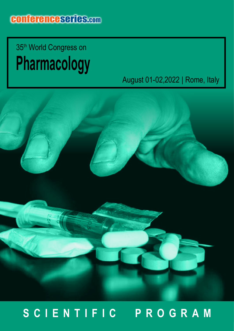## **Pharmacology**  35th World Congress on

## August 01-02,2022 | Rome, Italy



## **SCIENTIFIC PROGRAM**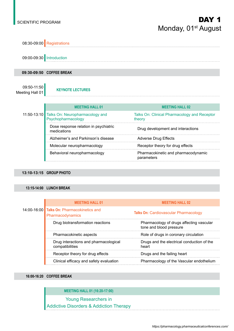### SCIENTIFIC PROGRAM  $\blacksquare$ Monday, 01<sup>st</sup> August



#### **13:10-13:15 GROUP PHOTO**

#### **13:15-14:00 LUNCH BREAK**

|  | <b>MEETING HALL 01</b>                                         | <b>MEETING HALL 02</b>                                              |
|--|----------------------------------------------------------------|---------------------------------------------------------------------|
|  | 14:00-16:00 Talks On: Pharmacokinetics and<br>Pharmacodynamics | <b>Talks On: Cardiovascular Pharmacology</b>                        |
|  | Drug biotransformation reactions                               | Pharmacology of drugs affecting vascular<br>tone and blood pressure |
|  | Pharmacokinetic aspects                                        | Role of drugs in coronary circulation                               |
|  | Drug interactions and pharmacological<br>compatibilities       | Drugs and the electrical conduction of the<br>heart                 |
|  | Receptor theory for drug effects                               | Drugs and the failing heart                                         |
|  | Clinical efficacy and safety evaluation                        | Pharmacology of the Vascular endothelium                            |

#### **16:00-16:20 COFFEE BREAK**

#### **MEETING HALL 01 (16:20-17:00)**

Young Researchers in Addictive Disorders & Addiction Therapy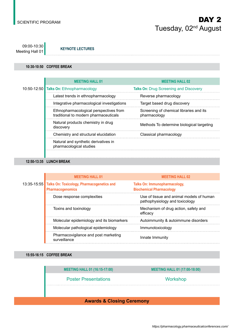09:00-10:30 Meeting Hall 01 **KEYNOTE LECTURES** 

#### **10:30-10:50 COFFEE BREAK**

|  | <b>MEETING HALL 01</b>                                                          | <b>MEETING HALL 02</b>                                  |
|--|---------------------------------------------------------------------------------|---------------------------------------------------------|
|  | 10:50-12:50 Talks On: Ethnopharmacology                                         | <b>Talks On: Drug Screening and Discovery</b>           |
|  | Latest trends in ethnopharmacology                                              | Reverse pharmacology                                    |
|  | Integrative pharmacological investigations                                      | Target based drug discovery                             |
|  | Ethnopharmacological perspectives from<br>traditional to modern pharmaceuticals | Screening of chemical libraries and its<br>pharmacology |
|  | Natural products chemistry in drug<br>discovery                                 | Methods To determine biological targeting               |
|  | Chemistry and structural elucidation                                            | Classical pharmacology                                  |
|  | Natural and synthetic derivatives in<br>pharmacological studies                 |                                                         |
|  |                                                                                 |                                                         |

#### **12:50-13:35 LUNCH BREAK**

|             | <b>MEETING HALL 01</b>                                                | <b>MEETING HALL 02</b>                                                     |
|-------------|-----------------------------------------------------------------------|----------------------------------------------------------------------------|
| 13:35-15:55 | Talks On: Toxicology, Pharmacogenetics and<br><b>Pharmacogenomics</b> | <b>Talks On: Immunopharmacology,</b><br><b>Biochemical Pharmacology</b>    |
|             | Dose response complexities                                            | Use of tissue and animal models of human<br>pathophysiology and toxicology |
|             | Toxins and toxinology                                                 | Mechanism of drug action, safety and<br>efficacv                           |
|             | Molecular epidemiology and its biomarkers                             | Autoimmunity & autoimmune disorders                                        |
|             | Molecular pathological epidemiology                                   | Immunotoxicology                                                           |
|             | Pharmacovigilance and post marketing<br>surveillance                  | Innate Immunity                                                            |

#### **15:55-16:15 COFFEE BREAK**

**MEETING HALL 01 (16:15-17:00) MEETING HALL 01 (17:00-18:00)**

Poster Presentations North Workshop

#### **Awards & Closing Ceremony**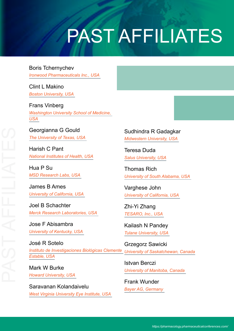# PAST AFFILIATES

Boris Tchernychev *Ironwood Pharmaceuticals Inc., USA* 

Clint L Makino *Boston University, USA* 

Frans Vinberg *Washington University School of Medicine, USA* 

Georgianna G Gould *The University of Texas, USA* 

Harish C Pant *National Institutes of Health, USA*

Hua P Su *MSD Research Labs, USA* 

James B Ames *University of California, USA* 

Joel B Schachter *Merck Research Laboratories, USA* 

Jose F Abisambra *University of Kentucky, USA* 

José R Sotelo *Instituto de Investigaciones Biológicas Clemente University of Saskatchewan, Canada Estable, USA* Grzegorz Sawicki

Mark W Burke *Howard University, USA* 

Saravanan Kolandaivelu *West Virginia University Eye Institute, USA*  Sudhindra R Gadagkar *Midwestern University, USA* 

Teresa Duda *Salus University, USA*

Thomas Rich *University of South Alabama, USA* 

Varghese John *University of California, USA* 

Zhi-Yi Zhang *TESARO, Inc., USA* 

Kailash N Pandey *Tulane University, USA* 

Istvan Berczi *University of Manitoba, Canada* 

Frank Wunder *Bayer AG, Germany*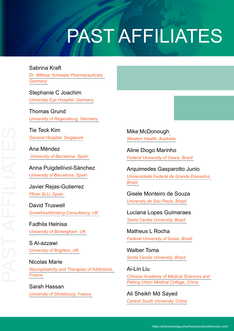# PAST AFFILIATES

### Sabrina Kraft

*Dr. Willmar Schwabe Pharmaceuticals, Germany* 

Stephanie C Joachim *University Eye Hospital, Germany*

Thomas Grund *University of Regensburg, Germany* 

Tie Teck Kim *General Hospital, Singapore*

Ana Méndez  *University of Barcelona, Spain* 

Anna Puigdellívol-Sánchez *University of Barcelona, Spain* 

Javier Rejas-Gutierrez *Pfizer SLU, Spain* 

David Truswell *Somefreshthinking Consultancy, UK* 

Fadhila Helnisa *University of Birmingham, UK* 

S Al-azzawi *University of Brighton, UK* 

Nicolas Marie *Neuroplasticity and Therapies of Addictions, France* 

Sarah Hassan *University of Strasbourg, France*  Mike McDonough *Western Health, Australia*

Aline Diogo Marinho *Federal University of Ceara, Brazil* 

Arquimedes Gasparotto Junio *Universidade Federal da Grande Dourados, Brazil* 

Gisele Monteiro de Souza *University de Sao Paulo, Brazil* 

Luciana Lopes Guimaraes *Santa Cecilia University, Brazil* 

Matheus L Rocha *Federal University of Goias, Brazil*

Walber Toma *Santa Cecilia University, Brazil* 

Ai-Lin Liu *Chinese Academy of Medical Sciences and Peking Union Medical College, China* 

Ali Sheikh Md Sayed *Central South University, China*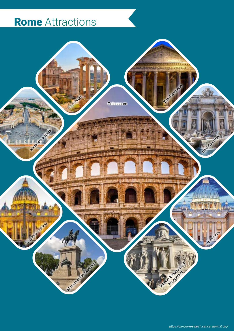## Rome Attractions